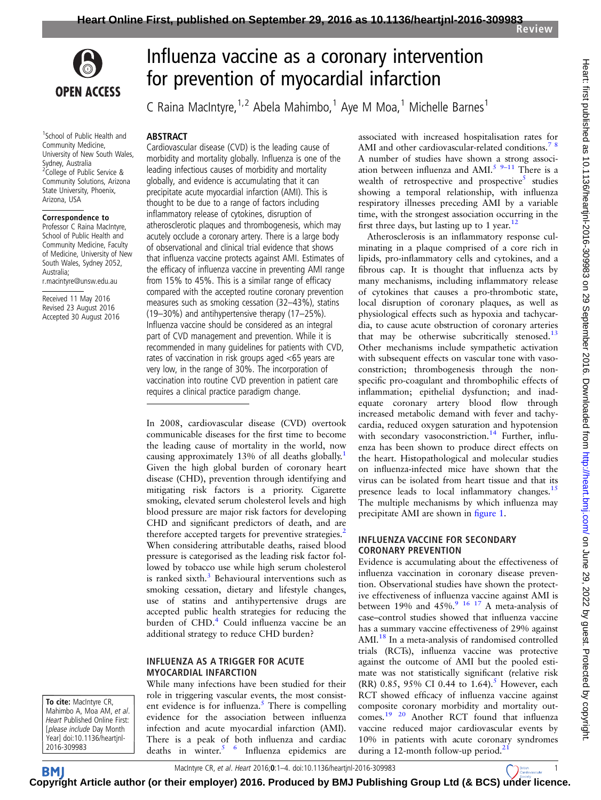

1 School of Public Health and Community Medicine, University of New South Wales, Sydney, Australia <sup>2</sup>College of Public Service & Community Solutions, Arizona State University, Phoenix, Arizona, USA

#### Correspondence to

Professor C Raina MacIntyre, School of Public Health and Community Medicine, Faculty of Medicine, University of New South Wales, Sydney 2052, Australia; r.macintyre@unsw.edu.au

Received 11 May 2016 Revised 23 August 2016 Accepted 30 August 2016

# Influenza vaccine as a coronary intervention for prevention of myocardial infarction

C Raina MacIntyre,  $1,2$  Abela Mahimbo,  $1$  Aye M Moa,  $1$  Michelle Barnes  $1$ 

#### ABSTRACT

Cardiovascular disease (CVD) is the leading cause of morbidity and mortality globally. Influenza is one of the leading infectious causes of morbidity and mortality globally, and evidence is accumulating that it can precipitate acute myocardial infarction (AMI). This is thought to be due to a range of factors including inflammatory release of cytokines, disruption of atherosclerotic plaques and thrombogenesis, which may acutely occlude a coronary artery. There is a large body of observational and clinical trial evidence that shows that influenza vaccine protects against AMI. Estimates of the efficacy of influenza vaccine in preventing AMI range from 15% to 45%. This is a similar range of efficacy compared with the accepted routine coronary prevention measures such as smoking cessation (32–43%), statins (19–30%) and antihypertensive therapy (17–25%). Influenza vaccine should be considered as an integral part of CVD management and prevention. While it is recommended in many guidelines for patients with CVD, rates of vaccination in risk groups aged <65 years are very low, in the range of 30%. The incorporation of vaccination into routine CVD prevention in patient care requires a clinical practice paradigm change.

In 2008, cardiovascular disease (CVD) overtook communicable diseases for the first time to become the leading cause of mortality in the world, now causing approximately 13% of all deaths globally.[1](#page-2-0) Given the high global burden of coronary heart disease (CHD), prevention through identifying and mitigating risk factors is a priority. Cigarette smoking, elevated serum cholesterol levels and high blood pressure are major risk factors for developing CHD and significant predictors of death, and are therefore accepted targets for preventive strategies.<sup>[2](#page-2-0)</sup> When considering attributable deaths, raised blood pressure is categorised as the leading risk factor followed by tobacco use while high serum cholesterol is ranked sixth. $3$  Behavioural interventions such as smoking cessation, dietary and lifestyle changes, use of statins and antihypertensive drugs are accepted public health strategies for reducing the burden of CHD.<sup>[4](#page-2-0)</sup> Could influenza vaccine be an additional strategy to reduce CHD burden?

#### INFLUENZA AS A TRIGGER FOR ACUTE MYOCARDIAL INFARCTION

To cite: MacIntyre CR, Mahimbo A, Moa AM, et al. Heart Published Online First: [please include Day Month Year] doi:10.1136/heartjnl-2016-309983

While many infections have been studied for their role in triggering vascular events, the most consist-ent evidence is for influenza.<sup>[5](#page-2-0)</sup> There is compelling evidence for the association between influenza infection and acute myocardial infarction (AMI). There is a peak of both influenza and cardiac deaths in winter.<sup>[5 6](#page-2-0)</sup> Influenza epidemics are associated with increased hospitalisation rates for AMI and other cardiovascular-related conditions.<sup>78</sup> A number of studies have shown a strong associ-ation between influenza and AMI.<sup>[5](#page-2-0)</sup>  $9-11$  $9-11$  There is a wealth of retrospective and prospective<sup>[5](#page-2-0)</sup> studies showing a temporal relationship, with influenza respiratory illnesses preceding AMI by a variable time, with the strongest association occurring in the first three days, but lasting up to 1 year.<sup>[12](#page-2-0)</sup>

Atherosclerosis is an inflammatory response culminating in a plaque comprised of a core rich in lipids, pro-inflammatory cells and cytokines, and a fibrous cap. It is thought that influenza acts by many mechanisms, including inflammatory release of cytokines that causes a pro-thrombotic state, local disruption of coronary plaques, as well as physiological effects such as hypoxia and tachycardia, to cause acute obstruction of coronary arteries that may be otherwise subcritically stenosed. $^{13}$  $^{13}$  $^{13}$ Other mechanisms include sympathetic activation with subsequent effects on vascular tone with vasoconstriction; thrombogenesis through the nonspecific pro-coagulant and thrombophilic effects of inflammation; epithelial dysfunction; and inadequate coronary artery blood flow through increased metabolic demand with fever and tachycardia, reduced oxygen saturation and hypotension with secondary vasoconstriction.<sup>[14](#page-2-0)</sup> Further, influenza has been shown to produce direct effects on the heart. Histopathological and molecular studies on influenza-infected mice have shown that the virus can be isolated from heart tissue and that its presence leads to local inflammatory changes.<sup>[15](#page-2-0)</sup> The multiple mechanisms by which influenza may precipitate AMI are shown in fi[gure 1.](#page-1-0)

### INFLUENZA VACCINE FOR SECONDARY CORONARY PREVENTION

Evidence is accumulating about the effectiveness of influenza vaccination in coronary disease prevention. Observational studies have shown the protective effectiveness of influenza vaccine against AMI is between 19% and 45%.<sup>[9 16 17](#page-2-0)</sup> A meta-analysis of case–control studies showed that influenza vaccine has a summary vaccine effectiveness of 29% against AMI.<sup>[18](#page-2-0)</sup> In a meta-analysis of randomised controlled trials (RCTs), influenza vaccine was protective against the outcome of AMI but the pooled estimate was not statistically significant (relative risk (RR) 0.8[5](#page-2-0), 95% CI 0.44 to 1.64).<sup>5</sup> However, each RCT showed efficacy of influenza vaccine against composite coronary morbidity and mortality outcomes.[19 20](#page-2-0) Another RCT found that influenza vaccine reduced major cardiovascular events by 10% in patients with acute coronary syndromes during a 12-month follow-up period.<sup>[21](#page-2-0)</sup>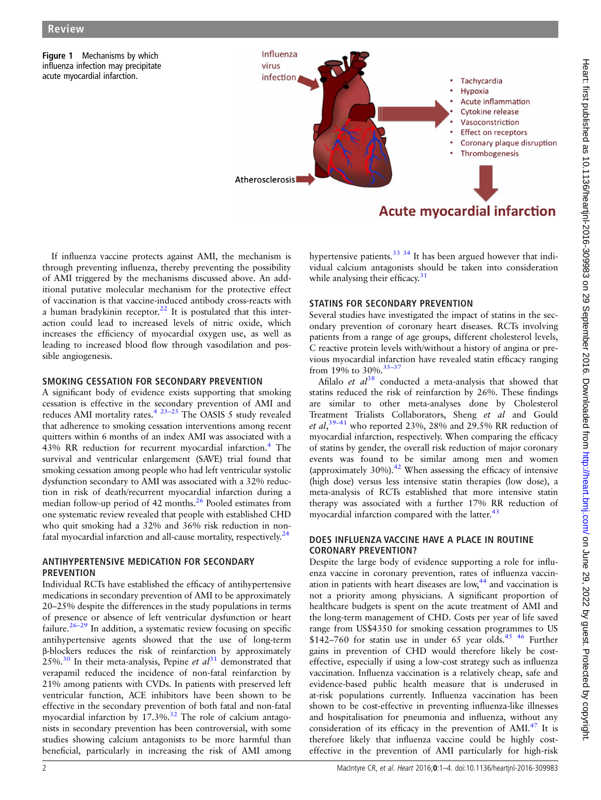<span id="page-1-0"></span>

If influenza vaccine protects against AMI, the mechanism is through preventing influenza, thereby preventing the possibility of AMI triggered by the mechanisms discussed above. An additional putative molecular mechanism for the protective effect of vaccination is that vaccine-induced antibody cross-reacts with a human bradykinin receptor.<sup>[22](#page-2-0)</sup> It is postulated that this interaction could lead to increased levels of nitric oxide, which increases the efficiency of myocardial oxygen use, as well as leading to increased blood flow through vasodilation and possible angiogenesis.

#### SMOKING CESSATION FOR SECONDARY PREVENTION

A significant body of evidence exists supporting that smoking cessation is effective in the secondary prevention of AMI and reduces AMI mortality rates.<sup>[4 23](#page-2-0)-25</sup> The OASIS 5 study revealed that adherence to smoking cessation interventions among recent quitters within 6 months of an index AMI was associated with a [4](#page-2-0)3% RR reduction for recurrent myocardial infarction.<sup>4</sup> The survival and ventricular enlargement (SAVE) trial found that smoking cessation among people who had left ventricular systolic dysfunction secondary to AMI was associated with a 32% reduction in risk of death/recurrent myocardial infarction during a median follow-up period of 42 months.<sup>26</sup> Pooled estimates from one systematic review revealed that people with established CHD who quit smoking had a 32% and 36% risk reduction in nonfatal myocardial infarction and all-cause mortality, respectively. $24$ 

#### ANTIHYPERTENSIVE MEDICATION FOR SECONDARY **PREVENTION**

Individual RCTs have established the efficacy of antihypertensive medications in secondary prevention of AMI to be approximately 20–25% despite the differences in the study populations in terms of presence or absence of left ventricular dysfunction or heart failure.<sup>26–[29](#page-2-0)</sup> In addition, a systematic review focusing on specific antihypertensive agents showed that the use of long-term β-blockers reduces the risk of reinfarction by approximately 25%.<sup>30</sup> In their meta-analysis, Pepine et  $al<sup>31</sup>$  $al<sup>31</sup>$  $al<sup>31</sup>$  demonstrated that verapamil reduced the incidence of non-fatal reinfarction by 21% among patients with CVDs. In patients with preserved left ventricular function, ACE inhibitors have been shown to be effective in the secondary prevention of both fatal and non-fatal myocardial infarction by  $17.3\%$ .<sup>32</sup> The role of calcium antagonists in secondary prevention has been controversial, with some studies showing calcium antagonists to be more harmful than beneficial, particularly in increasing the risk of AMI among

hypertensive patients.<sup>33</sup>  $34$  It has been argued however that individual calcium antagonists should be taken into consideration while analysing their efficacy.<sup>[31](#page-2-0)</sup>

#### STATINS FOR SECONDARY PREVENTION

Several studies have investigated the impact of statins in the secondary prevention of coronary heart diseases. RCTs involving patients from a range of age groups, different cholesterol levels, C reactive protein levels with/without a history of angina or previous myocardial infarction have revealed statin efficacy ranging from 19% to 30%.  $35-37$  $35-37$ 

Afilalo et  $al^{38}$  $al^{38}$  $al^{38}$  conducted a meta-analysis that showed that statins reduced the risk of reinfarction by 26%. These findings are similar to other meta-analyses done by Cholesterol Treatment Trialists Collaborators, Sheng et al and Gould *et al*,<sup>39–[41](#page-3-0)</sup> who reported 23%, 28% and 29.5% RR reduction of myocardial infarction, respectively. When comparing the efficacy of statins by gender, the overall risk reduction of major coronary events was found to be similar among men and women (approximately 30%). $42$  When assessing the efficacy of intensive (high dose) versus less intensive statin therapies (low dose), a meta-analysis of RCTs established that more intensive statin therapy was associated with a further 17% RR reduction of myocardial infarction compared with the latter.<sup>[43](#page-3-0)</sup>

## DOES INFLUENZA VACCINE HAVE A PLACE IN ROUTINE CORONARY PREVENTION?

Despite the large body of evidence supporting a role for influenza vaccine in coronary prevention, rates of influenza vaccination in patients with heart diseases are low,[44](#page-3-0) and vaccination is not a priority among physicians. A significant proportion of healthcare budgets is spent on the acute treatment of AMI and the long-term management of CHD. Costs per year of life saved range from US\$4350 for smoking cessation programmes to US  $$142-760$  for statin use in under 65 year olds.<sup>[45 46](#page-3-0)</sup> Further gains in prevention of CHD would therefore likely be costeffective, especially if using a low-cost strategy such as influenza vaccination. Influenza vaccination is a relatively cheap, safe and evidence-based public health measure that is underused in at-risk populations currently. Influenza vaccination has been shown to be cost-effective in preventing influenza-like illnesses and hospitalisation for pneumonia and influenza, without any consideration of its efficacy in the prevention of  $AMI<sup>47</sup>$  $AMI<sup>47</sup>$  $AMI<sup>47</sup>$  It is therefore likely that influenza vaccine could be highly costeffective in the prevention of AMI particularly for high-risk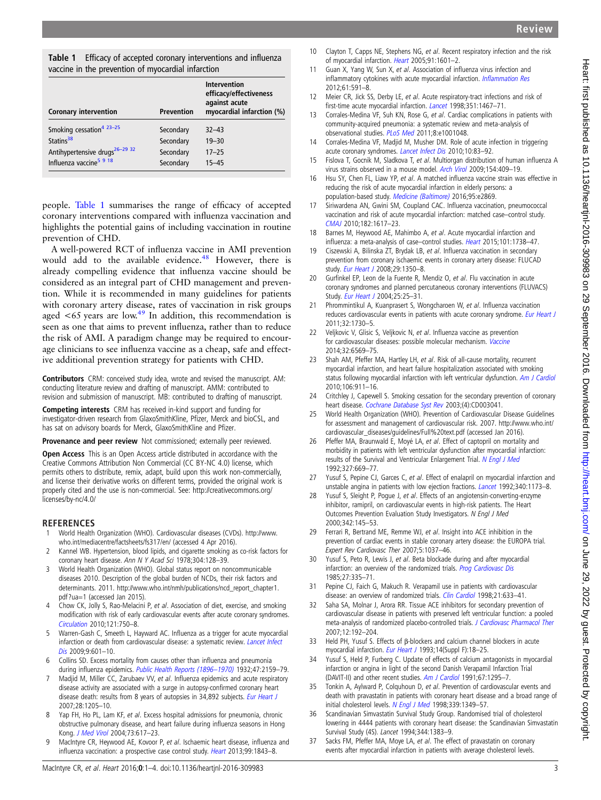<span id="page-2-0"></span>Table 1 Efficacy of accepted coronary interventions and influenza vaccine in the prevention of myocardial infarction

| <b>Coronary intervention</b>               | <b>Prevention</b> | <b>Intervention</b><br>efficacy/effectiveness<br>against acute<br>myocardial infarction (%) |
|--------------------------------------------|-------------------|---------------------------------------------------------------------------------------------|
| Smoking cessation <sup>4</sup> $23-25$     | Secondary         | $32 - 43$                                                                                   |
| Statins <sup>38</sup>                      | Secondary         | $19 - 30$                                                                                   |
| Antihypertensive drugs <sup>26-29</sup> 32 | Secondary         | $17 - 25$                                                                                   |
| Influenza vaccine <sup>5</sup> 9 18        | Secondary         | $15 - 45$                                                                                   |

people. Table 1 summarises the range of efficacy of accepted coronary interventions compared with influenza vaccination and highlights the potential gains of including vaccination in routine prevention of CHD.

A well-powered RCT of influenza vaccine in AMI prevention would add to the available evidence.<sup>48</sup> However, there is already compelling evidence that influenza vaccine should be considered as an integral part of CHD management and prevention. While it is recommended in many guidelines for patients with coronary artery disease, rates of vaccination in risk groups aged  $\lt 65$  years are low.<sup>[49](#page-3-0)</sup> In addition, this recommendation is seen as one that aims to prevent influenza, rather than to reduce the risk of AMI. A paradigm change may be required to encourage clinicians to see influenza vaccine as a cheap, safe and effective additional prevention strategy for patients with CHD.

Contributors CRM: conceived study idea, wrote and revised the manuscript. AM: conducting literature review and drafting of manuscript. AMM: contributed to revision and submission of manuscript. MB: contributed to drafting of manuscript.

Competing interests CRM has received in-kind support and funding for investigator-driven research from GlaxoSmithKline, Pfizer, Merck and bioCSL, and has sat on advisory boards for Merck, GlaxoSmithKline and Pfizer.

Provenance and peer review Not commissioned; externally peer reviewed.

Open Access This is an Open Access article distributed in accordance with the Creative Commons Attribution Non Commercial (CC BY-NC 4.0) license, which permits others to distribute, remix, adapt, build upon this work non-commercially, and license their derivative works on different terms, provided the original work is properly cited and the use is non-commercial. See: [http://creativecommons.org/](http://creativecommons.org/licenses/by-nc/4.0/) [licenses/by-nc/4.0/](http://creativecommons.org/licenses/by-nc/4.0/)

#### REFERENCES

- 1 World Health Organization (WHO). Cardiovascular diseases (CVDs). [http://www.](http://www.who.int/mediacentre/factsheets/fs317/en/) [who.int/mediacentre/factsheets/fs317/en/](http://www.who.int/mediacentre/factsheets/fs317/en/) (accessed 4 Apr 2016).
- 2 Kannel WB. Hypertension, blood lipids, and cigarette smoking as co-risk factors for coronary heart disease. Ann N Y Acad Sci 1978;304:128–39.
- 3 World Health Organization (WHO). Global status report on noncommunicable diseases 2010. Description of the global burden of NCDs, their risk factors and determinants. 2011. [http://www.who.int/nmh/publications/ncd\\_report\\_chapter1.](http://www.who.int/nmh/publications/ncd_report_chapter1.pdf?ua=1) [pdf?ua=1](http://www.who.int/nmh/publications/ncd_report_chapter1.pdf?ua=1) (accessed Jan 2015).
- 4 Chow CK, Jolly S, Rao-Melacini P, et al. Association of diet, exercise, and smoking modification with risk of early cardiovascular events after acute coronary syndromes. [Circulation](http://dx.doi.org/10.1161/CIRCULATIONAHA.109.891523) 2010;121:750–8.
- 5 Warren-Gash C, Smeeth L, Hayward AC. Influenza as a trigger for acute myocardial infarction or death from cardiovascular disease: a systematic review. [Lancet Infect](http://dx.doi.org/10.1016/S1473-3099(09)70233-6) [Dis](http://dx.doi.org/10.1016/S1473-3099(09)70233-6) 2009;9:601–10.
- 6 Collins SD. Excess mortality from causes other than influenza and pneumonia during influenza epidemics. [Public Health Reports \(1896](http://dx.doi.org/10.2307/4580606)-1970) 1932;47:2159-79.
- 7 Madjid M, Miller CC, Zarubaev VV, et al. Influenza epidemics and acute respiratory disease activity are associated with a surge in autopsy-confirmed coronary heart disease death: results from 8 years of autopsies in 34,892 subjects. [Eur Heart J](http://dx.doi.org/10.1093/eurheartj/ehm035) 2007;28:1205–10.
- 8 Yap FH, Ho PL, Lam KF, et al. Excess hospital admissions for pneumonia, chronic obstructive pulmonary disease, and heart failure during influenza seasons in Hong Kong. [J Med Virol](http://dx.doi.org/10.1002/jmv.20135) 2004;73:617–23.
- 9 MacIntyre CR, Heywood AE, Kovoor P, et al. Ischaemic heart disease, influenza and influenza vaccination: a prospective case control study. [Heart](http://dx.doi.org/10.1136/heartjnl-2013-304320) 2013;99:1843-8.

10 Clayton T, Capps NE, Stephens NG, et al. Recent respiratory infection and the risk of myocardial infarction. [Heart](http://dx.doi.org/10.1136/hrt.2004.046920) 2005;91:1601–2.

Review

- 11 Guan X, Yang W, Sun X, et al. Association of influenza virus infection and inflammatory cytokines with acute myocardial infarction. Infl[ammation Res](http://dx.doi.org/10.1007/s00011-012-0449-3) 2012;61:591–8.
- 12 Meier CR, Jick SS, Derby LE, et al. Acute respiratory-tract infections and risk of first-time acute myocardial infarction. [Lancet](http://dx.doi.org/10.1016/S0140-6736(97)11084-4) 1998;351:1467–71.
- 13 Corrales-Medina VF, Suh KN, Rose G, et al. Cardiac complications in patients with community-acquired pneumonia: a systematic review and meta-analysis of observational studies. [PLoS Med](http://dx.doi.org/10.1371/journal.pmed.1001048) 2011;8:e1001048.
- 14 Corrales-Medina VF, Madjid M, Musher DM. Role of acute infection in triggering acute coronary syndromes. [Lancet Infect Dis](http://dx.doi.org/10.1016/S1473-3099(09)70331-7) 2010;10:83–92.
- 15 Fislova T, Gocnik M, Sladkova T, et al. Multiorgan distribution of human influenza A virus strains observed in a mouse model. [Arch Virol](http://dx.doi.org/10.1007/s00705-009-0318-8) 2009;154:409-19.
- 16 Hsu SY, Chen FL, Liaw YP, et al. A matched influenza vaccine strain was effective in reducing the risk of acute myocardial infarction in elderly persons: a population-based study. [Medicine \(Baltimore\)](http://dx.doi.org/10.1097/MD.0000000000002869) 2016;95:e2869.
- 17 Siriwardena AN, Gwini SM, Coupland CAC. Influenza vaccination, pneumococcal vaccination and risk of acute myocardial infarction: matched case–control study. [CMAJ](http://dx.doi.org/10.1503/cmaj.091891) 2010;182:1617–23.
- 18 Barnes M, Heywood AE, Mahimbo A, et al. Acute myocardial infarction and influenza: a meta-analysis of case-control studies. [Heart](http://dx.doi.org/10.1136/heartjnl-2015-307691) 2015;101:1738-47.
- 19 Ciszewski A, Bilinska ZT, Brydak LB, et al. Influenza vaccination in secondary prevention from coronary ischaemic events in coronary artery disease: FLUCAD study. [Eur Heart J](http://dx.doi.org/10.1093/eurheartj/ehm581) 2008;29:1350-8.
- 20 Gurfinkel EP, Leon de la Fuente R, Mendiz O, et al. Flu vaccination in acute coronary syndromes and planned percutaneous coronary interventions (FLUVACS) Study. [Eur Heart J](http://dx.doi.org/10.1016/j.ehj.2003.10.018) 2004;25:25–31.
- 21 Phrommintikul A, Kuanprasert S, Wongcharoen W, et al. Influenza vaccination reduces cardiovascular events in patients with acute coronary syndrome. [Eur Heart J](http://dx.doi.org/10.1093/eurheartj/ehr004) 2011;32:1730–5.
- 22 Veljkovic V, Glisic S, Veljkovic N, et al. Influenza vaccine as prevention for cardiovascular diseases: possible molecular mechanism. [Vaccine](http://dx.doi.org/10.1016/j.vaccine.2014.07.007) 2014;32:6569–75.
- 23 Shah AM, Pfeffer MA, Hartley LH, et al. Risk of all-cause mortality, recurrent myocardial infarction, and heart failure hospitalization associated with smoking status following myocardial infarction with left ventricular dysfunction. [Am J Cardiol](http://dx.doi.org/10.1016/j.amjcard.2010.05.021) 2010;106:911–16.
- 24 Critchley J, Capewell S. Smoking cessation for the secondary prevention of coronary heart disease. [Cochrane Database Syst Rev](http://dx.doi.org/10.1002/14651858.CD003041) 2003;(4):CD003041.
- 25 World Health Organization (WHO). Prevention of Cardiovascular Disease Guidelines for assessment and management of cardiovascular risk. 2007. [http://www.who.int/](http://www.who.int/cardiovascular_diseases/guidelines/Full%20text.pdf) [cardiovascular\\_diseases/guidelines/Full%20text.pdf](http://www.who.int/cardiovascular_diseases/guidelines/Full%20text.pdf) (accessed Jan 2016).
- 26 Pfeffer MA, Braunwald E, Moyé LA, et al. Effect of captopril on mortality and morbidity in patients with left ventricular dysfunction after myocardial infarction: results of the Survival and Ventricular Enlargement Trial. [N Engl J Med](http://dx.doi.org/10.1056/NEJM199209033271001) 1992;327:669–77.
- 27 Yusuf S, Pepine CJ, Garces C, et al. Effect of enalapril on myocardial infarction and unstable angina in patients with low ejection fractions. [Lancet](http://dx.doi.org/10.1016/0140-6736(92)92889-N) 1992;340:1173-8.
- Yusuf S, Sleight P, Pogue J, et al. Effects of an angiotensin-converting-enzyme inhibitor, ramipril, on cardiovascular events in high-risk patients. The Heart Outcomes Prevention Evaluation Study Investigators. N Engl J Med 2000;342:145–53.
- 29 Ferrari R, Bertrand ME, Remme WJ, et al. Insight into ACE inhibition in the prevention of cardiac events in stable coronary artery disease: the EUROPA trial. Expert Rev Cardiovasc Ther 2007;5:1037–46.
- 30 Yusuf S, Peto R, Lewis J, et al. Beta blockade during and after myocardial infarction: an overview of the randomized trials. [Prog Cardiovasc Dis](http://dx.doi.org/10.1016/S0033-0620(85)80003-7) 1985;27:335–71.
- 31 Pepine CJ, Faich G, Makuch R. Verapamil use in patients with cardiovascular disease: an overview of randomized trials. [Clin Cardiol](http://dx.doi.org/10.1002/clc.4960210906) 1998:21:633-41.
- 32 Saha SA, Molnar J, Arora RR. Tissue ACE inhibitors for secondary prevention of cardiovascular disease in patients with preserved left ventricular function: a pooled meta-analysis of randomized placebo-controlled trials. [J Cardiovasc Pharmacol Ther](http://dx.doi.org/10.1177/1074248407304791) 2007;12:192–204.
- 33 Held PH, Yusuf S. Effects of β-blockers and calcium channel blockers in acute myocardial infarction. [Eur Heart J](http://dx.doi.org/10.1093/eurheartj/14.suppl_F.18) 1993;14(Suppl F):18-25.
- 34 Yusuf S, Held P, Furberg C. Update of effects of calcium antagonists in myocardial infarction or angina in light of the second Danish Verapamil Infarction Trial (DAVIT-II) and other recent studies. [Am J Cardiol](http://dx.doi.org/10.1016/0002-9149(91)90944-G) 1991;67:1295–7.
- 35 Tonkin A, Aylward P, Colquhoun D, et al. Prevention of cardiovascular events and death with pravastatin in patients with coronary heart disease and a broad range of initial cholesterol levels. [N Engl J Med](http://dx.doi.org/10.1056/NEJM199811053391902) 1998;339:1349-57.
- 36 Scandinavian Simvastatin Survival Study Group. Randomised trial of cholesterol lowering in 4444 patients with coronary heart disease: the Scandinavian Simvastatin Survival Study (4S). Lancet 1994;344:1383–9.
- 37 Sacks FM, Pfeffer MA, Moye LA, et al. The effect of pravastatin on coronary events after myocardial infarction in patients with average cholesterol levels.